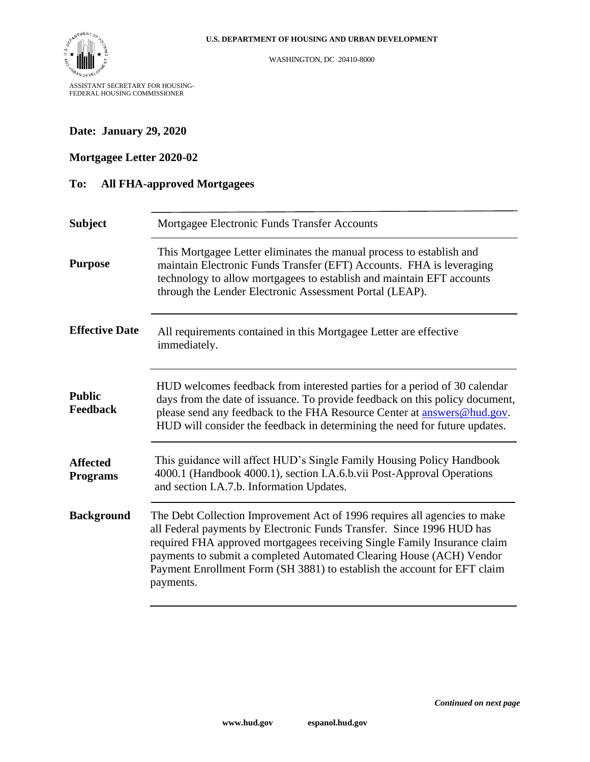

WASHINGTON, DC 20410-8000

### **Date: January 29, 2020**

## **Mortgagee Letter 2020-02**

#### **To: All FHA-approved Mortgagees**

| <b>Subject</b>                     | Mortgagee Electronic Funds Transfer Accounts                                                                                                                                                                                                                                                                                                                                                    |
|------------------------------------|-------------------------------------------------------------------------------------------------------------------------------------------------------------------------------------------------------------------------------------------------------------------------------------------------------------------------------------------------------------------------------------------------|
| <b>Purpose</b>                     | This Mortgagee Letter eliminates the manual process to establish and<br>maintain Electronic Funds Transfer (EFT) Accounts. FHA is leveraging<br>technology to allow mortgagees to establish and maintain EFT accounts<br>through the Lender Electronic Assessment Portal (LEAP).                                                                                                                |
| <b>Effective Date</b>              | All requirements contained in this Mortgagee Letter are effective<br>immediately.                                                                                                                                                                                                                                                                                                               |
| <b>Public</b><br><b>Feedback</b>   | HUD welcomes feedback from interested parties for a period of 30 calendar<br>days from the date of issuance. To provide feedback on this policy document,<br>please send any feedback to the FHA Resource Center at <b>answers@hud.gov</b> .<br>HUD will consider the feedback in determining the need for future updates.                                                                      |
| <b>Affected</b><br><b>Programs</b> | This guidance will affect HUD's Single Family Housing Policy Handbook<br>4000.1 (Handbook 4000.1), section I.A.6.b.vii Post-Approval Operations<br>and section I.A.7.b. Information Updates.                                                                                                                                                                                                    |
| <b>Background</b>                  | The Debt Collection Improvement Act of 1996 requires all agencies to make<br>all Federal payments by Electronic Funds Transfer. Since 1996 HUD has<br>required FHA approved mortgagees receiving Single Family Insurance claim<br>payments to submit a completed Automated Clearing House (ACH) Vendor<br>Payment Enrollment Form (SH 3881) to establish the account for EFT claim<br>payments. |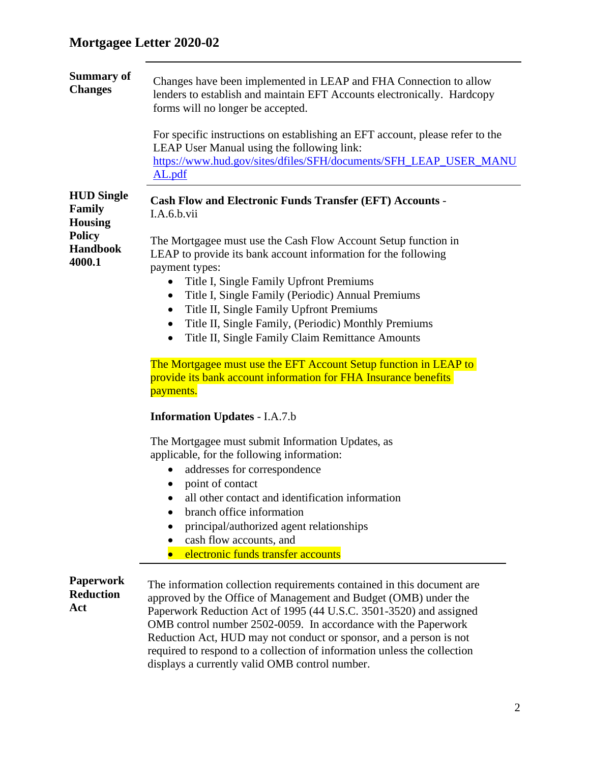| <b>Summary of</b><br><b>Changes</b>                  | Changes have been implemented in LEAP and FHA Connection to allow<br>lenders to establish and maintain EFT Accounts electronically. Hardcopy<br>forms will no longer be accepted.                                                                                                                                                                                                                                                   |
|------------------------------------------------------|-------------------------------------------------------------------------------------------------------------------------------------------------------------------------------------------------------------------------------------------------------------------------------------------------------------------------------------------------------------------------------------------------------------------------------------|
|                                                      | For specific instructions on establishing an EFT account, please refer to the<br>LEAP User Manual using the following link:<br>https://www.hud.gov/sites/dfiles/SFH/documents/SFH_LEAP_USER_MANU<br>AL.pdf                                                                                                                                                                                                                          |
| <b>HUD Single</b><br><b>Family</b><br><b>Housing</b> | <b>Cash Flow and Electronic Funds Transfer (EFT) Accounts -</b><br>I.A.6.b.vii                                                                                                                                                                                                                                                                                                                                                      |
| <b>Policy</b><br><b>Handbook</b><br>4000.1           | The Mortgagee must use the Cash Flow Account Setup function in<br>LEAP to provide its bank account information for the following<br>payment types:                                                                                                                                                                                                                                                                                  |
|                                                      | Title I, Single Family Upfront Premiums                                                                                                                                                                                                                                                                                                                                                                                             |
|                                                      | Title I, Single Family (Periodic) Annual Premiums<br>$\bullet$                                                                                                                                                                                                                                                                                                                                                                      |
|                                                      | Title II, Single Family Upfront Premiums<br>$\bullet$                                                                                                                                                                                                                                                                                                                                                                               |
|                                                      | Title II, Single Family, (Periodic) Monthly Premiums                                                                                                                                                                                                                                                                                                                                                                                |
|                                                      | Title II, Single Family Claim Remittance Amounts<br>$\bullet$                                                                                                                                                                                                                                                                                                                                                                       |
|                                                      | The Mortgagee must use the EFT Account Setup function in LEAP to<br>provide its bank account information for FHA Insurance benefits<br>payments.                                                                                                                                                                                                                                                                                    |
|                                                      | <b>Information Updates - I.A.7.b</b>                                                                                                                                                                                                                                                                                                                                                                                                |
|                                                      | The Mortgagee must submit Information Updates, as                                                                                                                                                                                                                                                                                                                                                                                   |
|                                                      | applicable, for the following information:                                                                                                                                                                                                                                                                                                                                                                                          |
|                                                      | addresses for correspondence                                                                                                                                                                                                                                                                                                                                                                                                        |
|                                                      | point of contact                                                                                                                                                                                                                                                                                                                                                                                                                    |
|                                                      | all other contact and identification information                                                                                                                                                                                                                                                                                                                                                                                    |
|                                                      | branch office information                                                                                                                                                                                                                                                                                                                                                                                                           |
|                                                      | principal/authorized agent relationships                                                                                                                                                                                                                                                                                                                                                                                            |
|                                                      | cash flow accounts, and                                                                                                                                                                                                                                                                                                                                                                                                             |
|                                                      | electronic funds transfer accounts                                                                                                                                                                                                                                                                                                                                                                                                  |
| <b>Paperwork</b><br><b>Reduction</b><br>Act          | The information collection requirements contained in this document are<br>approved by the Office of Management and Budget (OMB) under the<br>Paperwork Reduction Act of 1995 (44 U.S.C. 3501-3520) and assigned<br>OMB control number 2502-0059. In accordance with the Paperwork<br>Reduction Act, HUD may not conduct or sponsor, and a person is not<br>required to respond to a collection of information unless the collection |
|                                                      | displays a currently valid OMB control number.                                                                                                                                                                                                                                                                                                                                                                                      |